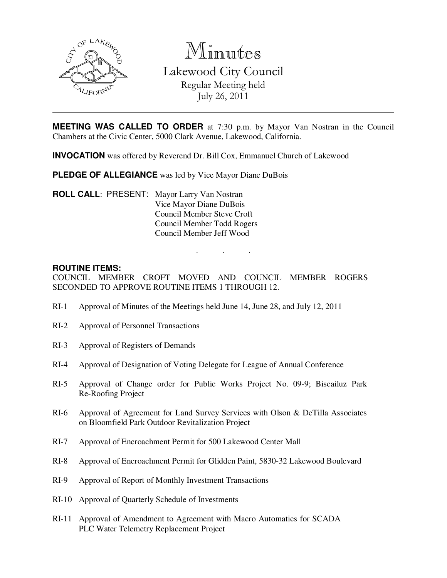

Minutes Lakewood City Council Regular Meeting held July 26, 2011

**MEETING WAS CALLED TO ORDER** at 7:30 p.m. by Mayor Van Nostran in the Council Chambers at the Civic Center, 5000 Clark Avenue, Lakewood, California.

**INVOCATION** was offered by Reverend Dr. Bill Cox, Emmanuel Church of Lakewood

**PLEDGE OF ALLEGIANCE** was led by Vice Mayor Diane DuBois

**ROLL CALL**: PRESENT: Mayor Larry Van Nostran Vice Mayor Diane DuBois Council Member Steve Croft Council Member Todd Rogers Council Member Jeff Wood

#### **ROUTINE ITEMS:**

COUNCIL MEMBER CROFT MOVED AND COUNCIL MEMBER ROGERS SECONDED TO APPROVE ROUTINE ITEMS 1 THROUGH 12.

. . .

- RI-1 Approval of Minutes of the Meetings held June 14, June 28, and July 12, 2011
- RI-2 Approval of Personnel Transactions
- RI-3 Approval of Registers of Demands
- RI-4 Approval of Designation of Voting Delegate for League of Annual Conference
- RI-5 Approval of Change order for Public Works Project No. 09-9; Biscailuz Park Re-Roofing Project
- RI-6 Approval of Agreement for Land Survey Services with Olson & DeTilla Associates on Bloomfield Park Outdoor Revitalization Project
- RI-7 Approval of Encroachment Permit for 500 Lakewood Center Mall
- RI-8 Approval of Encroachment Permit for Glidden Paint, 5830-32 Lakewood Boulevard
- RI-9 Approval of Report of Monthly Investment Transactions
- RI-10 Approval of Quarterly Schedule of Investments
- RI-11 Approval of Amendment to Agreement with Macro Automatics for SCADA PLC Water Telemetry Replacement Project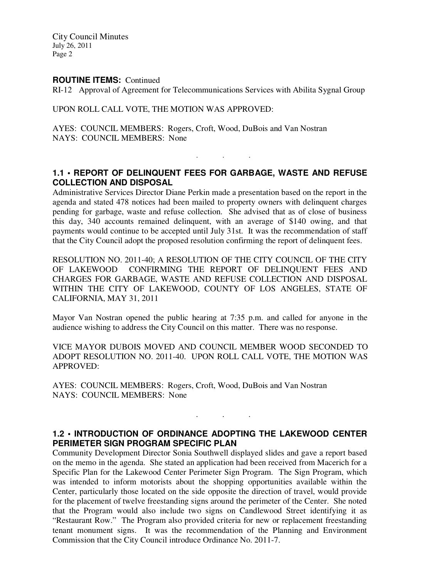City Council Minutes July 26, 2011 Page 2

#### **ROUTINE ITEMS:** Continued

RI-12 Approval of Agreement for Telecommunications Services with Abilita Sygnal Group

#### UPON ROLL CALL VOTE, THE MOTION WAS APPROVED:

AYES: COUNCIL MEMBERS: Rogers, Croft, Wood, DuBois and Van Nostran NAYS: COUNCIL MEMBERS: None

## **1.1 • REPORT OF DELINQUENT FEES FOR GARBAGE, WASTE AND REFUSE COLLECTION AND DISPOSAL**

. . .

Administrative Services Director Diane Perkin made a presentation based on the report in the agenda and stated 478 notices had been mailed to property owners with delinquent charges pending for garbage, waste and refuse collection. She advised that as of close of business this day, 340 accounts remained delinquent, with an average of \$140 owing, and that payments would continue to be accepted until July 31st. It was the recommendation of staff that the City Council adopt the proposed resolution confirming the report of delinquent fees.

RESOLUTION NO. 2011-40; A RESOLUTION OF THE CITY COUNCIL OF THE CITY OF LAKEWOOD CONFIRMING THE REPORT OF DELINQUENT FEES AND CHARGES FOR GARBAGE, WASTE AND REFUSE COLLECTION AND DISPOSAL WITHIN THE CITY OF LAKEWOOD, COUNTY OF LOS ANGELES, STATE OF CALIFORNIA, MAY 31, 2011

Mayor Van Nostran opened the public hearing at 7:35 p.m. and called for anyone in the audience wishing to address the City Council on this matter. There was no response.

VICE MAYOR DUBOIS MOVED AND COUNCIL MEMBER WOOD SECONDED TO ADOPT RESOLUTION NO. 2011-40. UPON ROLL CALL VOTE, THE MOTION WAS APPROVED:

AYES: COUNCIL MEMBERS: Rogers, Croft, Wood, DuBois and Van Nostran NAYS: COUNCIL MEMBERS: None

#### **1.2 • INTRODUCTION OF ORDINANCE ADOPTING THE LAKEWOOD CENTER PERIMETER SIGN PROGRAM SPECIFIC PLAN**

. . .

Community Development Director Sonia Southwell displayed slides and gave a report based on the memo in the agenda. She stated an application had been received from Macerich for a Specific Plan for the Lakewood Center Perimeter Sign Program. The Sign Program, which was intended to inform motorists about the shopping opportunities available within the Center, particularly those located on the side opposite the direction of travel, would provide for the placement of twelve freestanding signs around the perimeter of the Center. She noted that the Program would also include two signs on Candlewood Street identifying it as "Restaurant Row." The Program also provided criteria for new or replacement freestanding tenant monument signs. It was the recommendation of the Planning and Environment Commission that the City Council introduce Ordinance No. 2011-7.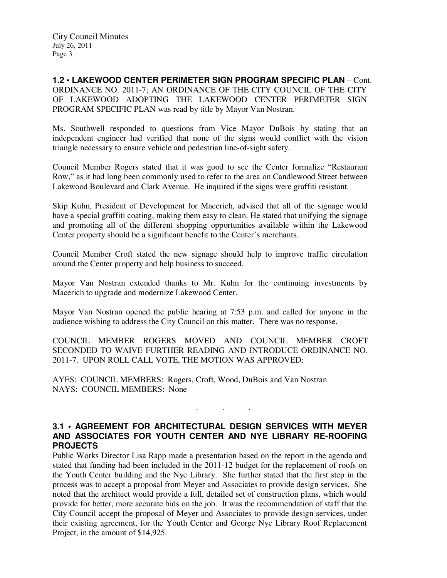**1.2 • LAKEWOOD CENTER PERIMETER SIGN PROGRAM SPECIFIC PLAN** – Cont. ORDINANCE NO. 2011-7; AN ORDINANCE OF THE CITY COUNCIL OF THE CITY OF LAKEWOOD ADOPTING THE LAKEWOOD CENTER PERIMETER SIGN PROGRAM SPECIFIC PLAN was read by title by Mayor Van Nostran.

Ms. Southwell responded to questions from Vice Mayor DuBois by stating that an independent engineer had verified that none of the signs would conflict with the vision triangle necessary to ensure vehicle and pedestrian line-of-sight safety.

Council Member Rogers stated that it was good to see the Center formalize "Restaurant Row," as it had long been commonly used to refer to the area on Candlewood Street between Lakewood Boulevard and Clark Avenue. He inquired if the signs were graffiti resistant.

Skip Kuhn, President of Development for Macerich, advised that all of the signage would have a special graffiti coating, making them easy to clean. He stated that unifying the signage and promoting all of the different shopping opportunities available within the Lakewood Center property should be a significant benefit to the Center's merchants.

Council Member Croft stated the new signage should help to improve traffic circulation around the Center property and help business to succeed.

Mayor Van Nostran extended thanks to Mr. Kuhn for the continuing investments by Macerich to upgrade and modernize Lakewood Center.

Mayor Van Nostran opened the public hearing at 7:53 p.m. and called for anyone in the audience wishing to address the City Council on this matter. There was no response.

COUNCIL MEMBER ROGERS MOVED AND COUNCIL MEMBER CROFT SECONDED TO WAIVE FURTHER READING AND INTRODUCE ORDINANCE NO. 2011-7. UPON ROLL CALL VOTE, THE MOTION WAS APPROVED:

AYES: COUNCIL MEMBERS: Rogers, Croft, Wood, DuBois and Van Nostran NAYS: COUNCIL MEMBERS: None

#### **3.1 • AGREEMENT FOR ARCHITECTURAL DESIGN SERVICES WITH MEYER AND ASSOCIATES FOR YOUTH CENTER AND NYE LIBRARY RE-ROOFING PROJECTS**

. . .

Public Works Director Lisa Rapp made a presentation based on the report in the agenda and stated that funding had been included in the 2011-12 budget for the replacement of roofs on the Youth Center building and the Nye Library. She further stated that the first step in the process was to accept a proposal from Meyer and Associates to provide design services. She noted that the architect would provide a full, detailed set of construction plans, which would provide for better, more accurate bids on the job. It was the recommendation of staff that the City Council accept the proposal of Meyer and Associates to provide design services, under their existing agreement, for the Youth Center and George Nye Library Roof Replacement Project, in the amount of \$14,925.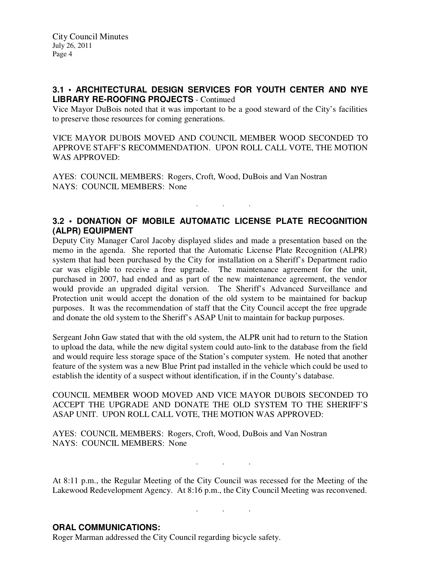### **3.1 • ARCHITECTURAL DESIGN SERVICES FOR YOUTH CENTER AND NYE LIBRARY RE-ROOFING PROJECTS** - Continued

Vice Mayor DuBois noted that it was important to be a good steward of the City's facilities to preserve those resources for coming generations.

VICE MAYOR DUBOIS MOVED AND COUNCIL MEMBER WOOD SECONDED TO APPROVE STAFF'S RECOMMENDATION. UPON ROLL CALL VOTE, THE MOTION WAS APPROVED:

AYES: COUNCIL MEMBERS: Rogers, Croft, Wood, DuBois and Van Nostran NAYS: COUNCIL MEMBERS: None

### **3.2 • DONATION OF MOBILE AUTOMATIC LICENSE PLATE RECOGNITION (ALPR) EQUIPMENT**

. . .

Deputy City Manager Carol Jacoby displayed slides and made a presentation based on the memo in the agenda. She reported that the Automatic License Plate Recognition (ALPR) system that had been purchased by the City for installation on a Sheriff's Department radio car was eligible to receive a free upgrade. The maintenance agreement for the unit, purchased in 2007, had ended and as part of the new maintenance agreement, the vendor would provide an upgraded digital version. The Sheriff's Advanced Surveillance and Protection unit would accept the donation of the old system to be maintained for backup purposes. It was the recommendation of staff that the City Council accept the free upgrade and donate the old system to the Sheriff's ASAP Unit to maintain for backup purposes.

Sergeant John Gaw stated that with the old system, the ALPR unit had to return to the Station to upload the data, while the new digital system could auto-link to the database from the field and would require less storage space of the Station's computer system. He noted that another feature of the system was a new Blue Print pad installed in the vehicle which could be used to establish the identity of a suspect without identification, if in the County's database.

COUNCIL MEMBER WOOD MOVED AND VICE MAYOR DUBOIS SECONDED TO ACCEPT THE UPGRADE AND DONATE THE OLD SYSTEM TO THE SHERIFF'S ASAP UNIT. UPON ROLL CALL VOTE, THE MOTION WAS APPROVED:

AYES: COUNCIL MEMBERS: Rogers, Croft, Wood, DuBois and Van Nostran NAYS: COUNCIL MEMBERS: None

At 8:11 p.m., the Regular Meeting of the City Council was recessed for the Meeting of the Lakewood Redevelopment Agency. At 8:16 p.m., the City Council Meeting was reconvened.

. . .

. . .

#### **ORAL COMMUNICATIONS:**

Roger Marman addressed the City Council regarding bicycle safety.